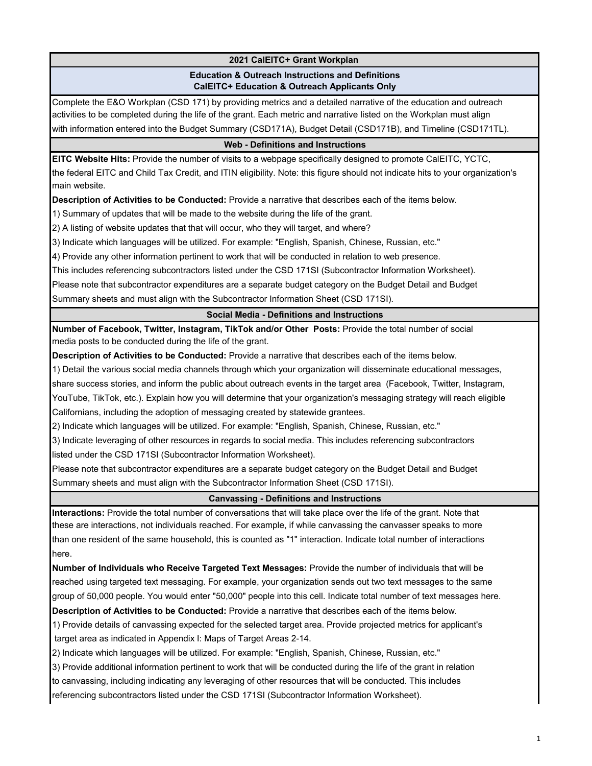# **2021 CalEITC+ Grant Workplan**

### **Education & Outreach Instructions and Definitions CalEITC+ Education & Outreach Applicants Only**

Complete the E&O Workplan (CSD 171) by providing metrics and a detailed narrative of the education and outreach activities to be completed during the life of the grant. Each metric and narrative listed on the Workplan must align with information entered into the Budget Summary (CSD171A), Budget Detail (CSD171B), and Timeline (CSD171TL).

### **Web - Definitions and Instructions**

**EITC Website Hits:** Provide the number of visits to a webpage specifically designed to promote CalEITC, YCTC, the federal EITC and Child Tax Credit, and ITIN eligibility. Note: this figure should not indicate hits to your organization's main website.

**Description of Activities to be Conducted:** Provide a narrative that describes each of the items below.

1) Summary of updates that will be made to the website during the life of the grant.

2) A listing of website updates that that will occur, who they will target, and where?

3) Indicate which languages will be utilized. For example: "English, Spanish, Chinese, Russian, etc."

4) Provide any other information pertinent to work that will be conducted in relation to web presence.

This includes referencing subcontractors listed under the CSD 171SI (Subcontractor Information Worksheet).

Please note that subcontractor expenditures are a separate budget category on the Budget Detail and Budget

Summary sheets and must align with the Subcontractor Information Sheet (CSD 171SI).

### **Social Media - Definitions and Instructions**

**Number of Facebook, Twitter, Instagram, TikTok and/or Other Posts:** Provide the total number of social media posts to be conducted during the life of the grant.

**Description of Activities to be Conducted:** Provide a narrative that describes each of the items below.

1) Detail the various social media channels through which your organization will disseminate educational messages,

share success stories, and inform the public about outreach events in the target area (Facebook, Twitter, Instagram,

YouTube, TikTok, etc.). Explain how you will determine that your organization's messaging strategy will reach eligible Californians, including the adoption of messaging created by statewide grantees.

2) Indicate which languages will be utilized. For example: "English, Spanish, Chinese, Russian, etc."

3) Indicate leveraging of other resources in regards to social media. This includes referencing subcontractors

listed under the CSD 171SI (Subcontractor Information Worksheet).

Please note that subcontractor expenditures are a separate budget category on the Budget Detail and Budget Summary sheets and must align with the Subcontractor Information Sheet (CSD 171SI).

### **Canvassing - Definitions and Instructions**

**Interactions:** Provide the total number of conversations that will take place over the life of the grant. Note that these are interactions, not individuals reached. For example, if while canvassing the canvasser speaks to more than one resident of the same household, this is counted as "1" interaction. Indicate total number of interactions here.

**Number of Individuals who Receive Targeted Text Messages:** Provide the number of individuals that will be reached using targeted text messaging. For example, your organization sends out two text messages to the same group of 50,000 people. You would enter "50,000" people into this cell. Indicate total number of text messages here. **Description of Activities to be Conducted:** Provide a narrative that describes each of the items below.

1) Provide details of canvassing expected for the selected target area. Provide projected metrics for applicant's target area as indicated in Appendix I: Maps of Target Areas 2-14.

2) Indicate which languages will be utilized. For example: "English, Spanish, Chinese, Russian, etc."

3) Provide additional information pertinent to work that will be conducted during the life of the grant in relation

to canvassing, including indicating any leveraging of other resources that will be conducted. This includes

referencing subcontractors listed under the CSD 171SI (Subcontractor Information Worksheet).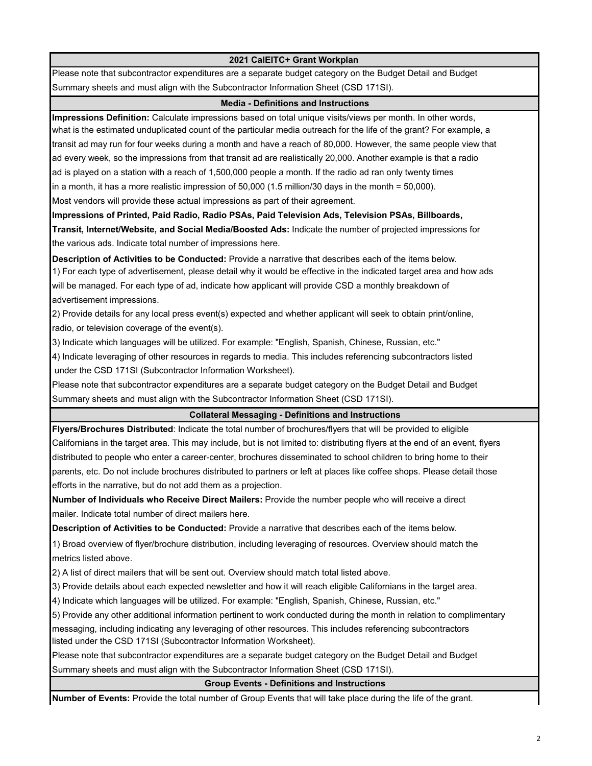### **2021 CalEITC+ Grant Workplan**

Please note that subcontractor expenditures are a separate budget category on the Budget Detail and Budget Summary sheets and must align with the Subcontractor Information Sheet (CSD 171SI).

### **Media - Definitions and Instructions**

**Impressions Definition:** Calculate impressions based on total unique visits/views per month. In other words, what is the estimated unduplicated count of the particular media outreach for the life of the grant? For example, a transit ad may run for four weeks during a month and have a reach of 80,000. However, the same people view that ad every week, so the impressions from that transit ad are realistically 20,000. Another example is that a radio ad is played on a station with a reach of 1,500,000 people a month. If the radio ad ran only twenty times in a month, it has a more realistic impression of 50,000 (1.5 million/30 days in the month = 50,000).

Most vendors will provide these actual impressions as part of their agreement.

**Impressions of Printed, Paid Radio, Radio PSAs, Paid Television Ads, Television PSAs, Billboards,**

**Transit, Internet/Website, and Social Media/Boosted Ads:** Indicate the number of projected impressions for the various ads. Indicate total number of impressions here.

**Description of Activities to be Conducted:** Provide a narrative that describes each of the items below.

1) For each type of advertisement, please detail why it would be effective in the indicated target area and how ads will be managed. For each type of ad, indicate how applicant will provide CSD a monthly breakdown of advertisement impressions.

2) Provide details for any local press event(s) expected and whether applicant will seek to obtain print/online, radio, or television coverage of the event(s).

3) Indicate which languages will be utilized. For example: "English, Spanish, Chinese, Russian, etc."

4) Indicate leveraging of other resources in regards to media. This includes referencing subcontractors listed under the CSD 171SI (Subcontractor Information Worksheet).

Please note that subcontractor expenditures are a separate budget category on the Budget Detail and Budget Summary sheets and must align with the Subcontractor Information Sheet (CSD 171SI).

# **Collateral Messaging - Definitions and Instructions**

**Flyers/Brochures Distributed**: Indicate the total number of brochures/flyers that will be provided to eligible Californians in the target area. This may include, but is not limited to: distributing flyers at the end of an event, flyers distributed to people who enter a career-center, brochures disseminated to school children to bring home to their parents, etc. Do not include brochures distributed to partners or left at places like coffee shops. Please detail those efforts in the narrative, but do not add them as a projection.

**Number of Individuals who Receive Direct Mailers:** Provide the number people who will receive a direct mailer. Indicate total number of direct mailers here.

**Description of Activities to be Conducted:** Provide a narrative that describes each of the items below.

1) Broad overview of flyer/brochure distribution, including leveraging of resources. Overview should match the metrics listed above.

2) A list of direct mailers that will be sent out. Overview should match total listed above.

3) Provide details about each expected newsletter and how it will reach eligible Californians in the target area.

4) Indicate which languages will be utilized. For example: "English, Spanish, Chinese, Russian, etc."

5) Provide any other additional information pertinent to work conducted during the month in relation to complimentary messaging, including indicating any leveraging of other resources. This includes referencing subcontractors listed under the CSD 171SI (Subcontractor Information Worksheet).

Please note that subcontractor expenditures are a separate budget category on the Budget Detail and Budget Summary sheets and must align with the Subcontractor Information Sheet (CSD 171SI).

**Group Events - Definitions and Instructions**

**Number of Events:** Provide the total number of Group Events that will take place during the life of the grant.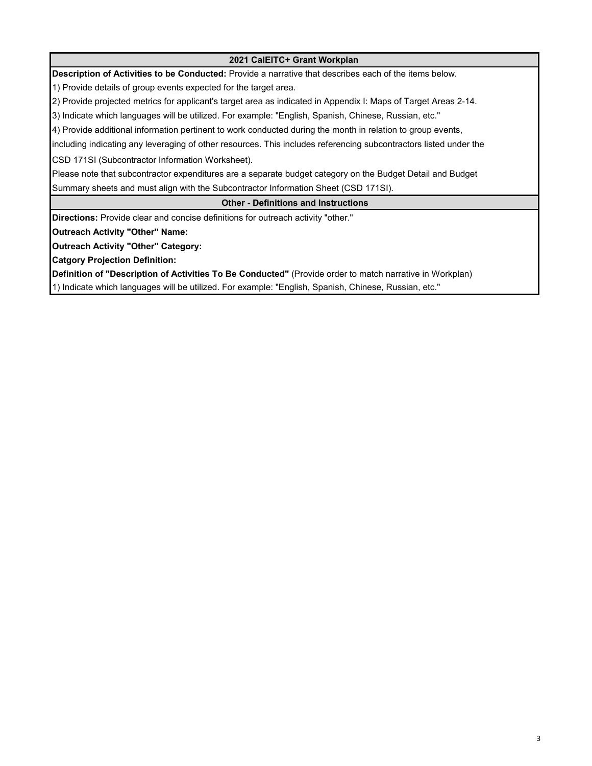**2021 CalEITC+ Grant Workplan Description of Activities to be Conducted:** Provide a narrative that describes each of the items below. 1) Provide details of group events expected for the target area. 2) Provide projected metrics for applicant's target area as indicated in Appendix I: Maps of Target Areas 2-14. 3) Indicate which languages will be utilized. For example: "English, Spanish, Chinese, Russian, etc." 4) Provide additional information pertinent to work conducted during the month in relation to group events, including indicating any leveraging of other resources. This includes referencing subcontractors listed under the CSD 171SI (Subcontractor Information Worksheet). Please note that subcontractor expenditures are a separate budget category on the Budget Detail and Budget Summary sheets and must align with the Subcontractor Information Sheet (CSD 171SI). **Other - Definitions and Instructions Directions:** Provide clear and concise definitions for outreach activity "other." **Outreach Activity "Other" Name: Outreach Activity "Other" Category: Catgory Projection Definition: Definition of "Description of Activities To Be Conducted"** (Provide order to match narrative in Workplan) 1) Indicate which languages will be utilized. For example: "English, Spanish, Chinese, Russian, etc."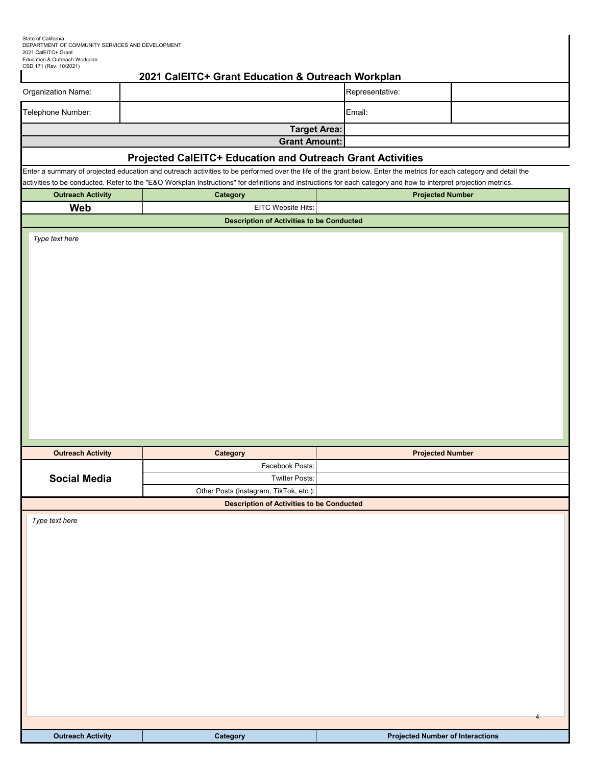| State of California                              |
|--------------------------------------------------|
| DEPARTMENT OF COMMUNITY SERVICES AND DEVELOPMENT |
| 2021 CalEITC+ Grant                              |
| Education & Outreach Workplan                    |
| CSD 171 (Rev. 10/2021)                           |

|                                                                                                                                                                                                                                                                                                                                         | 2021 CalEITC+ Grant Education & Outreach Workplan |                      |                         |  |  |  |  |
|-----------------------------------------------------------------------------------------------------------------------------------------------------------------------------------------------------------------------------------------------------------------------------------------------------------------------------------------|---------------------------------------------------|----------------------|-------------------------|--|--|--|--|
| Organization Name:                                                                                                                                                                                                                                                                                                                      |                                                   | Representative:      |                         |  |  |  |  |
| Telephone Number:                                                                                                                                                                                                                                                                                                                       |                                                   | Email:               |                         |  |  |  |  |
|                                                                                                                                                                                                                                                                                                                                         |                                                   | <b>Target Area:</b>  |                         |  |  |  |  |
|                                                                                                                                                                                                                                                                                                                                         |                                                   | <b>Grant Amount:</b> |                         |  |  |  |  |
| Projected CalEITC+ Education and Outreach Grant Activities                                                                                                                                                                                                                                                                              |                                                   |                      |                         |  |  |  |  |
| Enter a summary of projected education and outreach activities to be performed over the life of the grant below. Enter the metrics for each category and detail the<br>activities to be conducted. Refer to the "E&O Workplan Instructions" for definitions and instructions for each category and how to interpret projection metrics. |                                                   |                      |                         |  |  |  |  |
| <b>Outreach Activity</b>                                                                                                                                                                                                                                                                                                                | Category                                          |                      | <b>Projected Number</b> |  |  |  |  |
| Web                                                                                                                                                                                                                                                                                                                                     | EITC Website Hits:                                |                      |                         |  |  |  |  |
|                                                                                                                                                                                                                                                                                                                                         | <b>Description of Activities to be Conducted</b>  |                      |                         |  |  |  |  |
| Type text here                                                                                                                                                                                                                                                                                                                          |                                                   |                      |                         |  |  |  |  |
| <b>Outreach Activity</b>                                                                                                                                                                                                                                                                                                                | Category                                          |                      | <b>Projected Number</b> |  |  |  |  |
|                                                                                                                                                                                                                                                                                                                                         | Facebook Posts:                                   |                      |                         |  |  |  |  |
| <b>Social Media</b>                                                                                                                                                                                                                                                                                                                     | <b>Twitter Posts:</b>                             |                      |                         |  |  |  |  |
|                                                                                                                                                                                                                                                                                                                                         | Other Posts (Instagram, TikTok, etc.):            |                      |                         |  |  |  |  |
| Type text here                                                                                                                                                                                                                                                                                                                          | <b>Description of Activities to be Conducted</b>  |                      |                         |  |  |  |  |
|                                                                                                                                                                                                                                                                                                                                         |                                                   |                      | 4                       |  |  |  |  |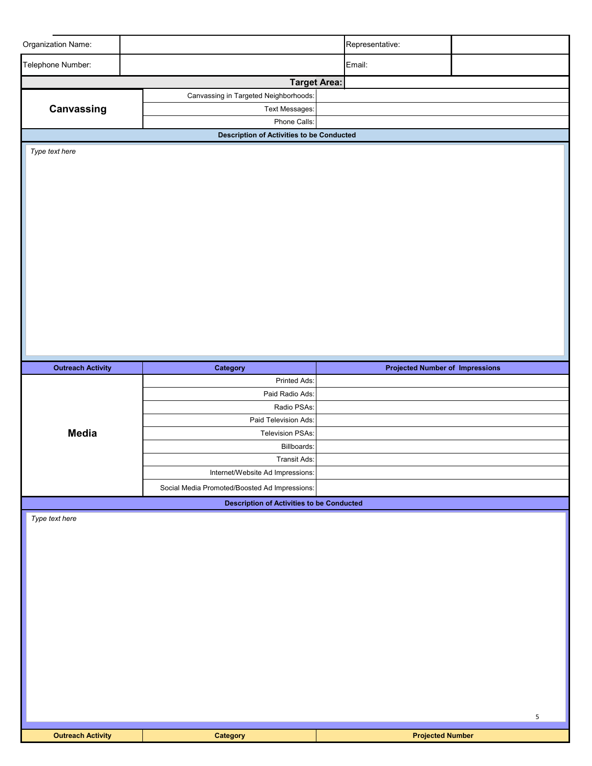| Organization Name:       |                                                              | Representative:                        |   |
|--------------------------|--------------------------------------------------------------|----------------------------------------|---|
| Telephone Number:        |                                                              | Email:                                 |   |
|                          |                                                              |                                        |   |
|                          | <b>Target Area:</b><br>Canvassing in Targeted Neighborhoods: |                                        |   |
| Canvassing               | Text Messages:                                               |                                        |   |
|                          | Phone Calls:                                                 |                                        |   |
|                          | <b>Description of Activities to be Conducted</b>             |                                        |   |
| Type text here           |                                                              |                                        |   |
|                          |                                                              |                                        |   |
|                          |                                                              |                                        |   |
|                          |                                                              |                                        |   |
|                          |                                                              |                                        |   |
|                          |                                                              |                                        |   |
|                          |                                                              |                                        |   |
|                          |                                                              |                                        |   |
|                          |                                                              |                                        |   |
|                          |                                                              |                                        |   |
|                          |                                                              |                                        |   |
|                          |                                                              |                                        |   |
|                          |                                                              |                                        |   |
|                          |                                                              |                                        |   |
|                          |                                                              |                                        |   |
|                          |                                                              |                                        |   |
|                          |                                                              |                                        |   |
| <b>Outreach Activity</b> | Category                                                     | <b>Projected Number of Impressions</b> |   |
|                          | Printed Ads:                                                 |                                        |   |
|                          | Paid Radio Ads:<br>Radio PSAs:                               |                                        |   |
|                          | Paid Television Ads:                                         |                                        |   |
| <b>Media</b>             | Television PSAs:                                             |                                        |   |
|                          | Billboards:                                                  |                                        |   |
|                          | Transit Ads:                                                 |                                        |   |
|                          | Internet/Website Ad Impressions:                             |                                        |   |
|                          | Social Media Promoted/Boosted Ad Impressions:                |                                        |   |
|                          | <b>Description of Activities to be Conducted</b>             |                                        |   |
| Type text here           |                                                              |                                        |   |
|                          |                                                              |                                        |   |
|                          |                                                              |                                        |   |
|                          |                                                              |                                        |   |
|                          |                                                              |                                        |   |
|                          |                                                              |                                        |   |
|                          |                                                              |                                        |   |
|                          |                                                              |                                        |   |
|                          |                                                              |                                        |   |
|                          |                                                              |                                        |   |
|                          |                                                              |                                        |   |
|                          |                                                              |                                        |   |
|                          |                                                              |                                        |   |
|                          |                                                              |                                        |   |
|                          |                                                              |                                        |   |
| <b>Outreach Activity</b> | Category                                                     | <b>Projected Number</b>                | 5 |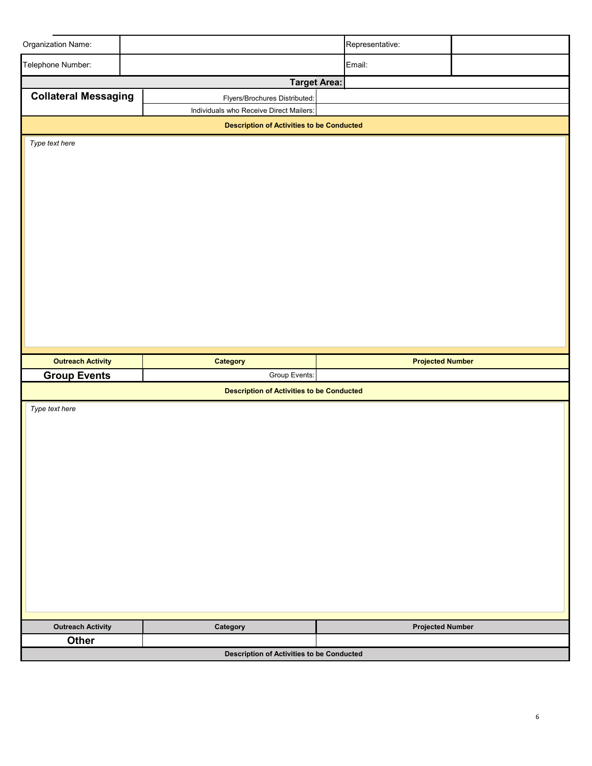| Organization Name:                |                                                  |                                                  |  | Representative:         |  |  |  |  |  |
|-----------------------------------|--------------------------------------------------|--------------------------------------------------|--|-------------------------|--|--|--|--|--|
| Telephone Number:                 |                                                  |                                                  |  | Email:                  |  |  |  |  |  |
|                                   |                                                  | <b>Target Area:</b>                              |  |                         |  |  |  |  |  |
| <b>Collateral Messaging</b>       |                                                  | Flyers/Brochures Distributed:                    |  |                         |  |  |  |  |  |
|                                   |                                                  | Individuals who Receive Direct Mailers:          |  |                         |  |  |  |  |  |
|                                   | <b>Description of Activities to be Conducted</b> |                                                  |  |                         |  |  |  |  |  |
| Type text here                    |                                                  |                                                  |  |                         |  |  |  |  |  |
|                                   |                                                  |                                                  |  |                         |  |  |  |  |  |
|                                   |                                                  |                                                  |  |                         |  |  |  |  |  |
|                                   |                                                  |                                                  |  |                         |  |  |  |  |  |
|                                   |                                                  |                                                  |  |                         |  |  |  |  |  |
|                                   |                                                  |                                                  |  |                         |  |  |  |  |  |
|                                   |                                                  |                                                  |  |                         |  |  |  |  |  |
|                                   |                                                  |                                                  |  |                         |  |  |  |  |  |
|                                   |                                                  |                                                  |  |                         |  |  |  |  |  |
|                                   |                                                  |                                                  |  |                         |  |  |  |  |  |
|                                   |                                                  |                                                  |  |                         |  |  |  |  |  |
|                                   |                                                  |                                                  |  |                         |  |  |  |  |  |
|                                   |                                                  |                                                  |  |                         |  |  |  |  |  |
|                                   |                                                  |                                                  |  |                         |  |  |  |  |  |
|                                   |                                                  |                                                  |  |                         |  |  |  |  |  |
|                                   |                                                  |                                                  |  |                         |  |  |  |  |  |
| <b>Outreach Activity</b>          |                                                  | Category                                         |  | <b>Projected Number</b> |  |  |  |  |  |
| <b>Group Events</b>               |                                                  | Group Events:                                    |  |                         |  |  |  |  |  |
|                                   |                                                  | <b>Description of Activities to be Conducted</b> |  |                         |  |  |  |  |  |
| Type text here                    |                                                  |                                                  |  |                         |  |  |  |  |  |
|                                   |                                                  |                                                  |  |                         |  |  |  |  |  |
|                                   |                                                  |                                                  |  |                         |  |  |  |  |  |
|                                   |                                                  |                                                  |  |                         |  |  |  |  |  |
|                                   |                                                  |                                                  |  |                         |  |  |  |  |  |
|                                   |                                                  |                                                  |  |                         |  |  |  |  |  |
|                                   |                                                  |                                                  |  |                         |  |  |  |  |  |
|                                   |                                                  |                                                  |  |                         |  |  |  |  |  |
|                                   |                                                  |                                                  |  |                         |  |  |  |  |  |
|                                   |                                                  |                                                  |  |                         |  |  |  |  |  |
|                                   |                                                  |                                                  |  |                         |  |  |  |  |  |
|                                   |                                                  |                                                  |  |                         |  |  |  |  |  |
|                                   |                                                  |                                                  |  |                         |  |  |  |  |  |
|                                   |                                                  |                                                  |  |                         |  |  |  |  |  |
|                                   |                                                  |                                                  |  |                         |  |  |  |  |  |
|                                   |                                                  |                                                  |  |                         |  |  |  |  |  |
| <b>Outreach Activity</b><br>Other |                                                  | Category                                         |  | <b>Projected Number</b> |  |  |  |  |  |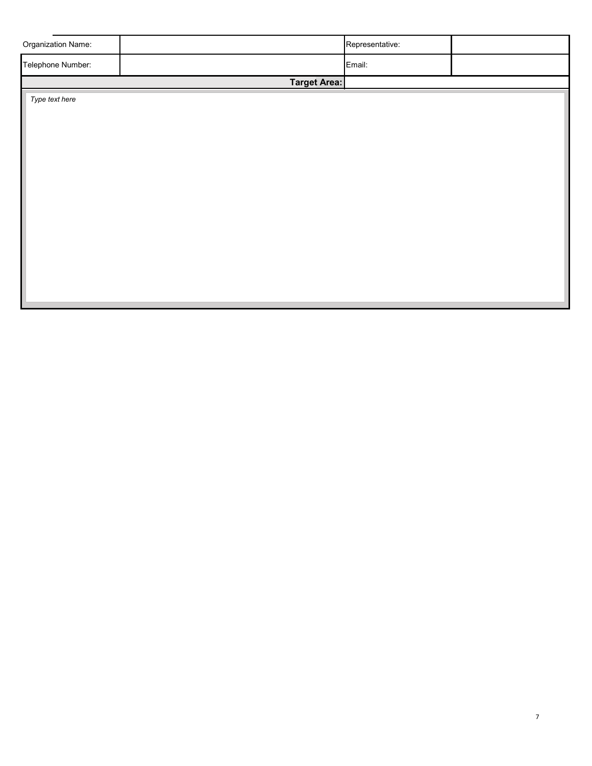| Organization Name: |                     | Representative: |  |
|--------------------|---------------------|-----------------|--|
| Telephone Number:  |                     | Email:          |  |
|                    | <b>Target Area:</b> |                 |  |
| Type text here     |                     |                 |  |
|                    |                     |                 |  |
|                    |                     |                 |  |
|                    |                     |                 |  |
|                    |                     |                 |  |
|                    |                     |                 |  |
|                    |                     |                 |  |
|                    |                     |                 |  |
|                    |                     |                 |  |
|                    |                     |                 |  |
|                    |                     |                 |  |
|                    |                     |                 |  |
|                    |                     |                 |  |
|                    |                     |                 |  |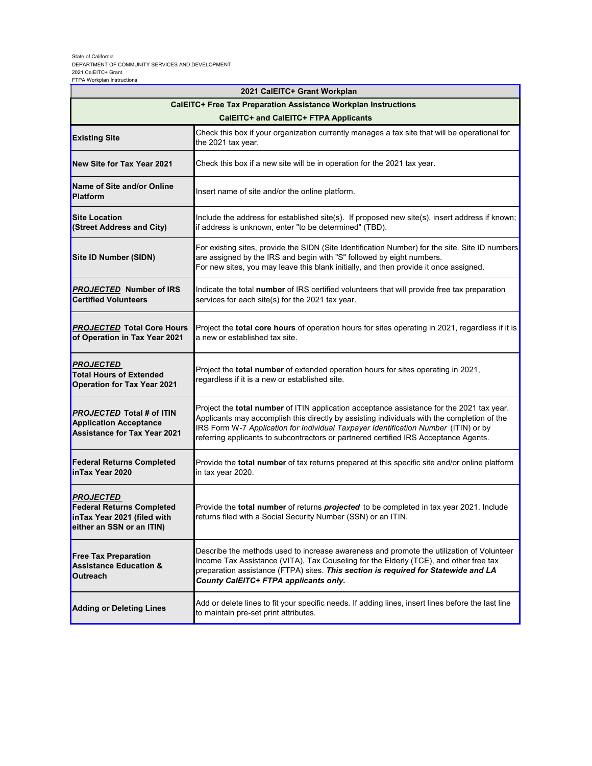### State of California DEPARTMENT OF COMMUNITY SERVICES AND DEVELOPMENT 2021 CalEITC+ Grant FTPA Workplan Instructions

| 2021 CalEITC+ Grant Workplan                                                                                     |                                                                                                                                                                                                                                                                                                                                                                                |  |  |  |  |
|------------------------------------------------------------------------------------------------------------------|--------------------------------------------------------------------------------------------------------------------------------------------------------------------------------------------------------------------------------------------------------------------------------------------------------------------------------------------------------------------------------|--|--|--|--|
|                                                                                                                  | <b>CalEITC+ Free Tax Preparation Assistance Workplan Instructions</b>                                                                                                                                                                                                                                                                                                          |  |  |  |  |
|                                                                                                                  | CalEITC+ and CalEITC+ FTPA Applicants                                                                                                                                                                                                                                                                                                                                          |  |  |  |  |
| <b>Existing Site</b>                                                                                             | Check this box if your organization currently manages a tax site that will be operational for<br>the 2021 tax year.                                                                                                                                                                                                                                                            |  |  |  |  |
| New Site for Tax Year 2021                                                                                       | Check this box if a new site will be in operation for the 2021 tax year.                                                                                                                                                                                                                                                                                                       |  |  |  |  |
| Name of Site and/or Online<br><b>Platform</b>                                                                    | Insert name of site and/or the online platform.                                                                                                                                                                                                                                                                                                                                |  |  |  |  |
| <b>Site Location</b><br>(Street Address and City)                                                                | Include the address for established site(s). If proposed new site(s), insert address if known;<br>if address is unknown, enter "to be determined" (TBD).                                                                                                                                                                                                                       |  |  |  |  |
| Site ID Number (SIDN)                                                                                            | For existing sites, provide the SIDN (Site Identification Number) for the site. Site ID numbers<br>are assigned by the IRS and begin with "S" followed by eight numbers.<br>For new sites, you may leave this blank initially, and then provide it once assigned.                                                                                                              |  |  |  |  |
| <b>PROJECTED Number of IRS</b><br><b>Certified Volunteers</b>                                                    | Indicate the total number of IRS certified volunteers that will provide free tax preparation<br>services for each site(s) for the 2021 tax year.                                                                                                                                                                                                                               |  |  |  |  |
| <b>PROJECTED</b> Total Core Hours<br>of Operation in Tax Year 2021                                               | Project the <b>total core hours</b> of operation hours for sites operating in 2021, regardless if it is<br>a new or established tax site.                                                                                                                                                                                                                                      |  |  |  |  |
| <u>PROJECTED</u><br><b>Total Hours of Extended</b><br><b>Operation for Tax Year 2021</b>                         | Project the total number of extended operation hours for sites operating in 2021,<br>regardless if it is a new or established site.                                                                                                                                                                                                                                            |  |  |  |  |
| <b>PROJECTED Total # of ITIN</b><br><b>Application Acceptance</b><br><b>Assistance for Tax Year 2021</b>         | Project the <b>total number</b> of ITIN application acceptance assistance for the 2021 tax year.<br>Applicants may accomplish this directly by assisting individuals with the completion of the<br>IRS Form W-7 Application for Individual Taxpayer Identification Number (ITIN) or by<br>referring applicants to subcontractors or partnered certified IRS Acceptance Agents. |  |  |  |  |
| <b>Federal Returns Completed</b><br>inTax Year 2020                                                              | Provide the total number of tax returns prepared at this specific site and/or online platform<br>in tax year 2020.                                                                                                                                                                                                                                                             |  |  |  |  |
| <b>PROJECTED</b><br><b>Federal Returns Completed</b><br>inTax Year 2021 (filed with<br>either an SSN or an ITIN) | Provide the <b>total number</b> of returns <b>projected</b> to be completed in tax year 2021. Include<br>returns filed with a Social Security Number (SSN) or an ITIN.                                                                                                                                                                                                         |  |  |  |  |
| <b>Free Tax Preparation</b><br><b>Assistance Education &amp;</b><br>Outreach                                     | Describe the methods used to increase awareness and promote the utilization of Volunteer<br>Income Tax Assistance (VITA), Tax Couseling for the Elderly (TCE), and other free tax<br>preparation assistance (FTPA) sites. This section is required for Statewide and LA<br>County CalEITC+ FTPA applicants only.                                                               |  |  |  |  |
| <b>Adding or Deleting Lines</b>                                                                                  | Add or delete lines to fit your specific needs. If adding lines, insert lines before the last line<br>to maintain pre-set print attributes.                                                                                                                                                                                                                                    |  |  |  |  |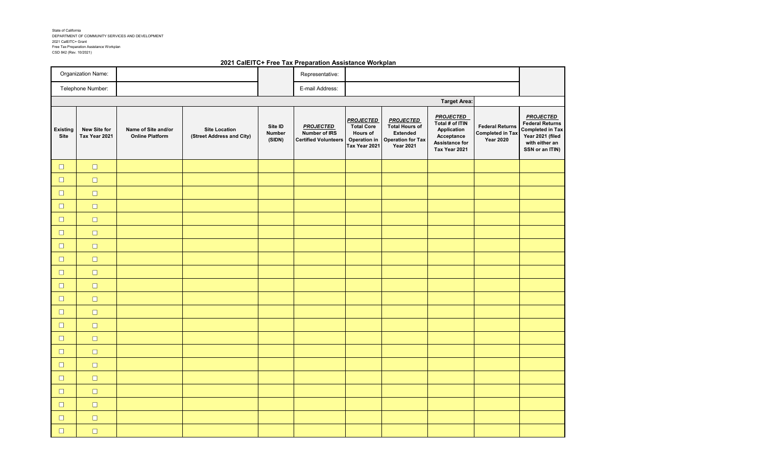State of California DEPARTMENT OF COMMUNITY SERVICES AND DEVELOPMENT 2021 CalEITC+ Grant Free Tax Preparation Assistance Workplan CSD 842 (Rev. 10/2021)

### **2021 CalEITC+ Free Tax Preparation Assistance Workplan**

|                         | Organization Name:            |                                               |                                                   |                             | Representative:                                                  |                                                                                    |                                                                                                              |                                                                                                     |                                                                       |                                                                                                                                |
|-------------------------|-------------------------------|-----------------------------------------------|---------------------------------------------------|-----------------------------|------------------------------------------------------------------|------------------------------------------------------------------------------------|--------------------------------------------------------------------------------------------------------------|-----------------------------------------------------------------------------------------------------|-----------------------------------------------------------------------|--------------------------------------------------------------------------------------------------------------------------------|
|                         | Telephone Number:             |                                               |                                                   |                             | E-mail Address:                                                  |                                                                                    |                                                                                                              |                                                                                                     |                                                                       |                                                                                                                                |
|                         |                               |                                               |                                                   |                             |                                                                  |                                                                                    | <b>Target Area:</b>                                                                                          |                                                                                                     |                                                                       |                                                                                                                                |
| <b>Existing</b><br>Site | New Site for<br>Tax Year 2021 | Name of Site and/or<br><b>Online Platform</b> | <b>Site Location</b><br>(Street Address and City) | Site ID<br>Number<br>(SIDN) | <b>PROJECTED</b><br>Number of IRS<br><b>Certified Volunteers</b> | <b>PROJECTED</b><br><b>Total Core</b><br>Hours of<br>Operation in<br>Tax Year 2021 | <b>PROJECTED</b><br><b>Total Hours of</b><br><b>Extended</b><br><b>Operation for Tax</b><br><b>Year 2021</b> | <b>PROJECTED</b><br>Total # of ITIN<br>Application<br>Acceptance<br>Assistance for<br>Tax Year 2021 | <b>Federal Returns</b><br><b>Completed in Tax</b><br><b>Year 2020</b> | <b>PROJECTED</b><br><b>Federal Returns</b><br><b>Completed in Tax</b><br>Year 2021 (filed<br>with either an<br>SSN or an ITIN) |
| $\Box$                  | $\Box$                        |                                               |                                                   |                             |                                                                  |                                                                                    |                                                                                                              |                                                                                                     |                                                                       |                                                                                                                                |
| $\Box$                  | $\Box$                        |                                               |                                                   |                             |                                                                  |                                                                                    |                                                                                                              |                                                                                                     |                                                                       |                                                                                                                                |
| $\Box$                  | $\Box$                        |                                               |                                                   |                             |                                                                  |                                                                                    |                                                                                                              |                                                                                                     |                                                                       |                                                                                                                                |
| $\Box$                  | $\Box$                        |                                               |                                                   |                             |                                                                  |                                                                                    |                                                                                                              |                                                                                                     |                                                                       |                                                                                                                                |
| $\Box$                  | $\Box$                        |                                               |                                                   |                             |                                                                  |                                                                                    |                                                                                                              |                                                                                                     |                                                                       |                                                                                                                                |
| $\Box$                  | $\Box$                        |                                               |                                                   |                             |                                                                  |                                                                                    |                                                                                                              |                                                                                                     |                                                                       |                                                                                                                                |
| $\Box$                  | $\Box$                        |                                               |                                                   |                             |                                                                  |                                                                                    |                                                                                                              |                                                                                                     |                                                                       |                                                                                                                                |
| $\Box$                  | $\Box$                        |                                               |                                                   |                             |                                                                  |                                                                                    |                                                                                                              |                                                                                                     |                                                                       |                                                                                                                                |
| $\Box$                  | $\Box$                        |                                               |                                                   |                             |                                                                  |                                                                                    |                                                                                                              |                                                                                                     |                                                                       |                                                                                                                                |
| $\Box$                  | $\Box$                        |                                               |                                                   |                             |                                                                  |                                                                                    |                                                                                                              |                                                                                                     |                                                                       |                                                                                                                                |
| $\Box$                  | $\Box$                        |                                               |                                                   |                             |                                                                  |                                                                                    |                                                                                                              |                                                                                                     |                                                                       |                                                                                                                                |
| $\Box$                  | $\Box$                        |                                               |                                                   |                             |                                                                  |                                                                                    |                                                                                                              |                                                                                                     |                                                                       |                                                                                                                                |
| $\Box$                  | $\Box$                        |                                               |                                                   |                             |                                                                  |                                                                                    |                                                                                                              |                                                                                                     |                                                                       |                                                                                                                                |
| $\Box$                  | $\Box$                        |                                               |                                                   |                             |                                                                  |                                                                                    |                                                                                                              |                                                                                                     |                                                                       |                                                                                                                                |
| $\Box$                  | $\Box$                        |                                               |                                                   |                             |                                                                  |                                                                                    |                                                                                                              |                                                                                                     |                                                                       |                                                                                                                                |
| $\Box$                  | $\Box$                        |                                               |                                                   |                             |                                                                  |                                                                                    |                                                                                                              |                                                                                                     |                                                                       |                                                                                                                                |
| $\Box$                  | $\Box$                        |                                               |                                                   |                             |                                                                  |                                                                                    |                                                                                                              |                                                                                                     |                                                                       |                                                                                                                                |
| $\Box$                  | $\Box$                        |                                               |                                                   |                             |                                                                  |                                                                                    |                                                                                                              |                                                                                                     |                                                                       |                                                                                                                                |
| $\Box$                  | $\Box$                        |                                               |                                                   |                             |                                                                  |                                                                                    |                                                                                                              |                                                                                                     |                                                                       |                                                                                                                                |
| $\Box$                  | $\Box$                        |                                               |                                                   |                             |                                                                  |                                                                                    |                                                                                                              |                                                                                                     |                                                                       |                                                                                                                                |
| $\Box$                  | $\Box$                        |                                               |                                                   |                             |                                                                  |                                                                                    |                                                                                                              |                                                                                                     |                                                                       |                                                                                                                                |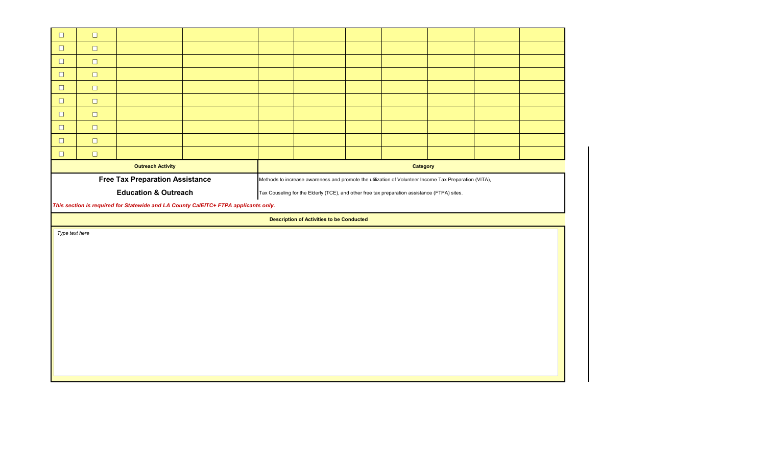| $\Box$               | $\Box$                                                                              |                                        |  |  |                                                                                                       |  |          |  |  |  |
|----------------------|-------------------------------------------------------------------------------------|----------------------------------------|--|--|-------------------------------------------------------------------------------------------------------|--|----------|--|--|--|
| $\qquad \qquad \Box$ | $\Box$                                                                              |                                        |  |  |                                                                                                       |  |          |  |  |  |
| $\Box$               | $\Box$                                                                              |                                        |  |  |                                                                                                       |  |          |  |  |  |
| $\Box$               | $\Box$                                                                              |                                        |  |  |                                                                                                       |  |          |  |  |  |
| $\Box$               | $\Box$                                                                              |                                        |  |  |                                                                                                       |  |          |  |  |  |
| $\Box$               | $\Box$                                                                              |                                        |  |  |                                                                                                       |  |          |  |  |  |
| $\Box$               | $\Box$                                                                              |                                        |  |  |                                                                                                       |  |          |  |  |  |
| $\Box$               | $\Box$                                                                              |                                        |  |  |                                                                                                       |  |          |  |  |  |
| $\Box$               | $\Box$                                                                              |                                        |  |  |                                                                                                       |  |          |  |  |  |
| $\Box$               | $\Box$                                                                              |                                        |  |  |                                                                                                       |  |          |  |  |  |
|                      |                                                                                     | <b>Outreach Activity</b>               |  |  |                                                                                                       |  | Category |  |  |  |
|                      |                                                                                     | <b>Free Tax Preparation Assistance</b> |  |  | Methods to increase awareness and promote the utilization of Volunteer Income Tax Preparation (VITA), |  |          |  |  |  |
|                      |                                                                                     | <b>Education &amp; Outreach</b>        |  |  | Tax Couseling for the Elderly (TCE), and other free tax preparation assistance (FTPA) sites.          |  |          |  |  |  |
|                      | This section is required for Statewide and LA County CalEITC+ FTPA applicants only. |                                        |  |  |                                                                                                       |  |          |  |  |  |
|                      |                                                                                     |                                        |  |  |                                                                                                       |  |          |  |  |  |
|                      |                                                                                     |                                        |  |  | <b>Description of Activities to be Conducted</b>                                                      |  |          |  |  |  |
| Type text here       |                                                                                     |                                        |  |  |                                                                                                       |  |          |  |  |  |
|                      |                                                                                     |                                        |  |  |                                                                                                       |  |          |  |  |  |
|                      |                                                                                     |                                        |  |  |                                                                                                       |  |          |  |  |  |
|                      |                                                                                     |                                        |  |  |                                                                                                       |  |          |  |  |  |
|                      |                                                                                     |                                        |  |  |                                                                                                       |  |          |  |  |  |
|                      |                                                                                     |                                        |  |  |                                                                                                       |  |          |  |  |  |
|                      |                                                                                     |                                        |  |  |                                                                                                       |  |          |  |  |  |
|                      |                                                                                     |                                        |  |  |                                                                                                       |  |          |  |  |  |
|                      |                                                                                     |                                        |  |  |                                                                                                       |  |          |  |  |  |
|                      |                                                                                     |                                        |  |  |                                                                                                       |  |          |  |  |  |
|                      |                                                                                     |                                        |  |  |                                                                                                       |  |          |  |  |  |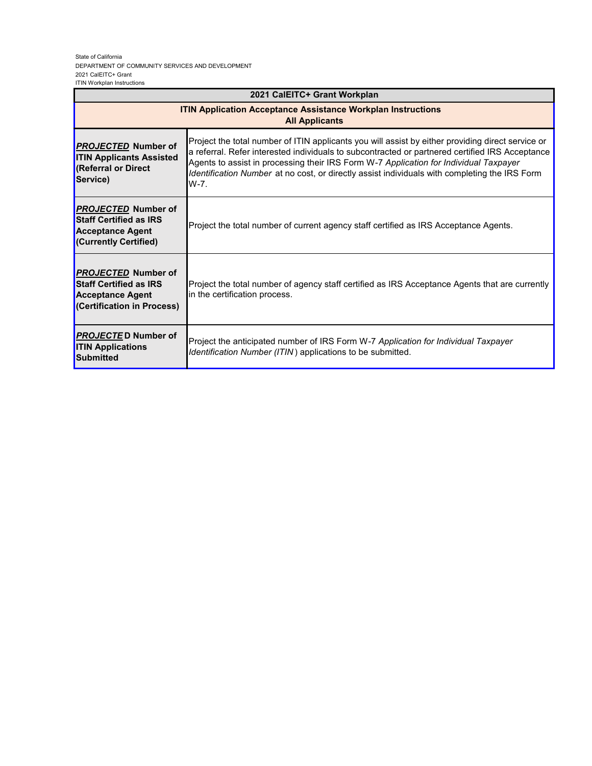#### State of California DEPARTMENT OF COMMUNITY SERVICES AND DEVELOPMENT 2021 CalEITC+ Grant ITIN Workplan Instructions

| 2021 CalEITC+ Grant Workplan                                                                                         |                                                                                                                                                                                                                                                                                                                                                                                                        |  |  |  |  |
|----------------------------------------------------------------------------------------------------------------------|--------------------------------------------------------------------------------------------------------------------------------------------------------------------------------------------------------------------------------------------------------------------------------------------------------------------------------------------------------------------------------------------------------|--|--|--|--|
| <b>ITIN Application Acceptance Assistance Workplan Instructions</b><br><b>All Applicants</b>                         |                                                                                                                                                                                                                                                                                                                                                                                                        |  |  |  |  |
| <b>PROJECTED Number of</b><br><b>ITIN Applicants Assisted</b><br>(Referral or Direct<br>Service)                     | Project the total number of ITIN applicants you will assist by either providing direct service or<br>a referral. Refer interested individuals to subcontracted or partnered certified IRS Acceptance<br>Agents to assist in processing their IRS Form W-7 Application for Individual Taxpayer<br>Identification Number at no cost, or directly assist individuals with completing the IRS Form<br>W-7. |  |  |  |  |
| <b>PROJECTED Number of</b><br><b>Staff Certified as IRS</b><br><b>Acceptance Agent</b><br>(Currently Certified)      | Project the total number of current agency staff certified as IRS Acceptance Agents.                                                                                                                                                                                                                                                                                                                   |  |  |  |  |
| <b>PROJECTED Number of</b><br><b>Staff Certified as IRS</b><br><b>Acceptance Agent</b><br>(Certification in Process) | Project the total number of agency staff certified as IRS Acceptance Agents that are currently<br>in the certification process.                                                                                                                                                                                                                                                                        |  |  |  |  |
| <b>PROJECTED Number of</b><br><b>ITIN Applications</b><br>Submitted                                                  | Project the anticipated number of IRS Form W-7 Application for Individual Taxpayer<br><i>Identification Number (ITIN)</i> applications to be submitted.                                                                                                                                                                                                                                                |  |  |  |  |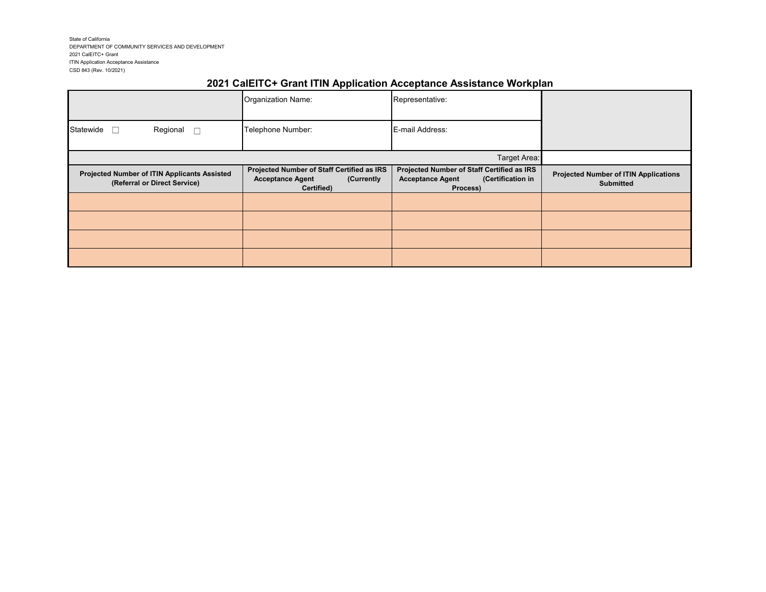State of California DEPARTMENT OF COMMUNITY SERVICES AND DEVELOPMENT 2021 CalEITC+ Grant ITIN Application Acceptance Assistance CSD 843 (Rev. 10/2021)

# **2021 CalEITC+ Grant ITIN Application Acceptance Assistance Workplan**

|                                                                              | Organization Name:                                                                                | Representative:                                                                                        |                                                                  |
|------------------------------------------------------------------------------|---------------------------------------------------------------------------------------------------|--------------------------------------------------------------------------------------------------------|------------------------------------------------------------------|
| Regional<br>Statewide                                                        | Telephone Number:                                                                                 | E-mail Address:                                                                                        |                                                                  |
|                                                                              |                                                                                                   | Target Area:                                                                                           |                                                                  |
| Projected Number of ITIN Applicants Assisted<br>(Referral or Direct Service) | Projected Number of Staff Certified as IRS<br><b>Acceptance Agent</b><br>(Currently<br>Certified) | Projected Number of Staff Certified as IRS<br><b>Acceptance Agent</b><br>(Certification in<br>Process) | <b>Projected Number of ITIN Applications</b><br><b>Submitted</b> |
|                                                                              |                                                                                                   |                                                                                                        |                                                                  |
|                                                                              |                                                                                                   |                                                                                                        |                                                                  |
|                                                                              |                                                                                                   |                                                                                                        |                                                                  |
|                                                                              |                                                                                                   |                                                                                                        |                                                                  |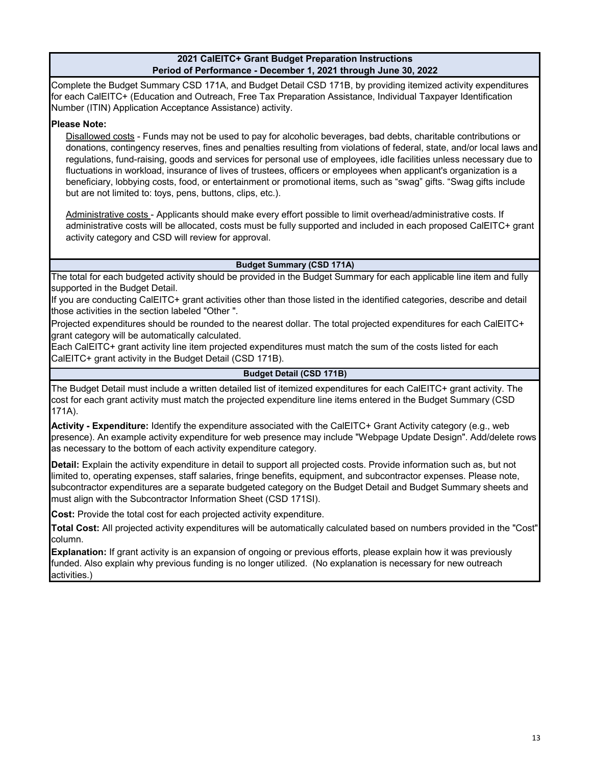# **2021 CalEITC+ Grant Budget Preparation Instructions Period of Performance - December 1, 2021 through June 30, 2022**

Complete the Budget Summary CSD 171A, and Budget Detail CSD 171B, by providing itemized activity expenditures for each CalEITC+ (Education and Outreach, Free Tax Preparation Assistance, Individual Taxpayer Identification Number (ITIN) Application Acceptance Assistance) activity.

# **Please Note:**

Disallowed costs - Funds may not be used to pay for alcoholic beverages, bad debts, charitable contributions or donations, contingency reserves, fines and penalties resulting from violations of federal, state, and/or local laws and regulations, fund-raising, goods and services for personal use of employees, idle facilities unless necessary due to fluctuations in workload, insurance of lives of trustees, officers or employees when applicant's organization is a beneficiary, lobbying costs, food, or entertainment or promotional items, such as "swag" gifts. "Swag gifts include but are not limited to: toys, pens, buttons, clips, etc.).

Administrative costs - Applicants should make every effort possible to limit overhead/administrative costs. If administrative costs will be allocated, costs must be fully supported and included in each proposed CalEITC+ grant activity category and CSD will review for approval.

# **Budget Summary (CSD 171A)**

The total for each budgeted activity should be provided in the Budget Summary for each applicable line item and fully supported in the Budget Detail.

If you are conducting CalEITC+ grant activities other than those listed in the identified categories, describe and detail those activities in the section labeled "Other ".

Projected expenditures should be rounded to the nearest dollar. The total projected expenditures for each CalEITC+ grant category will be automatically calculated.

Each CalEITC+ grant activity line item projected expenditures must match the sum of the costs listed for each CalEITC+ grant activity in the Budget Detail (CSD 171B).

# **Budget Detail (CSD 171B)**

The Budget Detail must include a written detailed list of itemized expenditures for each CalEITC+ grant activity. The cost for each grant activity must match the projected expenditure line items entered in the Budget Summary (CSD 171A).

**Activity - Expenditure:** Identify the expenditure associated with the CalEITC+ Grant Activity category (e.g., web presence). An example activity expenditure for web presence may include "Webpage Update Design". Add/delete rows as necessary to the bottom of each activity expenditure category.

**Detail:** Explain the activity expenditure in detail to support all projected costs. Provide information such as, but not limited to, operating expenses, staff salaries, fringe benefits, equipment, and subcontractor expenses. Please note, subcontractor expenditures are a separate budgeted category on the Budget Detail and Budget Summary sheets and must align with the Subcontractor Information Sheet (CSD 171SI).

**Cost:** Provide the total cost for each projected activity expenditure.

**Total Cost:** All projected activity expenditures will be automatically calculated based on numbers provided in the "Cost" column.

**Explanation:** If grant activity is an expansion of ongoing or previous efforts, please explain how it was previously funded. Also explain why previous funding is no longer utilized. (No explanation is necessary for new outreach activities.)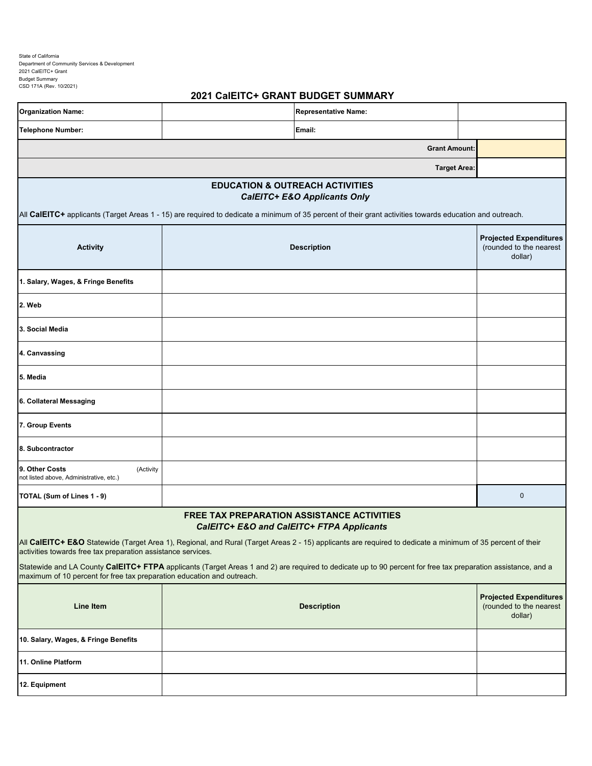State of California Department of Community Services & Development 2021 CalEITC+ Grant Budget Summary CSD 171A (Rev. 10/2021)

# **2021 CalEITC+ GRANT BUDGET SUMMARY**

| <b>Organization Name:</b>                                              |                                                                                                | <b>Representative Name:</b>                                                                                                                                  |                                                                     |
|------------------------------------------------------------------------|------------------------------------------------------------------------------------------------|--------------------------------------------------------------------------------------------------------------------------------------------------------------|---------------------------------------------------------------------|
| <b>Telephone Number:</b>                                               |                                                                                                | Email:                                                                                                                                                       |                                                                     |
|                                                                        |                                                                                                | <b>Grant Amount:</b>                                                                                                                                         |                                                                     |
|                                                                        |                                                                                                | <b>Target Area:</b>                                                                                                                                          |                                                                     |
|                                                                        | <b>EDUCATION &amp; OUTREACH ACTIVITIES</b>                                                     | <b>CalEITC+ E&amp;O Applicants Only</b>                                                                                                                      |                                                                     |
|                                                                        |                                                                                                | All CalEITC+ applicants (Target Areas 1 - 15) are required to dedicate a minimum of 35 percent of their grant activities towards education and outreach.     |                                                                     |
| <b>Activity</b>                                                        |                                                                                                | <b>Description</b>                                                                                                                                           | <b>Projected Expenditures</b><br>(rounded to the nearest<br>dollar) |
| 1. Salary, Wages, & Fringe Benefits                                    |                                                                                                |                                                                                                                                                              |                                                                     |
| 2. Web                                                                 |                                                                                                |                                                                                                                                                              |                                                                     |
| 3. Social Media                                                        |                                                                                                |                                                                                                                                                              |                                                                     |
| 4. Canvassing                                                          |                                                                                                |                                                                                                                                                              |                                                                     |
| 5. Media                                                               |                                                                                                |                                                                                                                                                              |                                                                     |
| 6. Collateral Messaging                                                |                                                                                                |                                                                                                                                                              |                                                                     |
| 7. Group Events                                                        |                                                                                                |                                                                                                                                                              |                                                                     |
| 8. Subcontractor                                                       |                                                                                                |                                                                                                                                                              |                                                                     |
| 9. Other Costs<br>(Activity<br>not listed above, Administrative, etc.) |                                                                                                |                                                                                                                                                              |                                                                     |
| TOTAL (Sum of Lines 1 - 9)                                             |                                                                                                |                                                                                                                                                              | $\pmb{0}$                                                           |
|                                                                        | <b>FREE TAX PREPARATION ASSISTANCE ACTIVITIES</b><br>CalEITC+ E&O and CalEITC+ FTPA Applicants |                                                                                                                                                              |                                                                     |
| activities towards free tax preparation assistance services.           |                                                                                                | All CalEITC+ E&O Statewide (Target Area 1), Regional, and Rural (Target Areas 2 - 15) applicants are required to dedicate a minimum of 35 percent of their   |                                                                     |
| maximum of 10 percent for free tax preparation education and outreach. |                                                                                                | Statewide and LA County CalEITC+ FTPA applicants (Target Areas 1 and 2) are required to dedicate up to 90 percent for free tax preparation assistance, and a |                                                                     |
| <b>Line Item</b>                                                       |                                                                                                | <b>Description</b>                                                                                                                                           | <b>Projected Expenditures</b><br>(rounded to the nearest<br>dollar) |
| 10. Salary, Wages, & Fringe Benefits                                   |                                                                                                |                                                                                                                                                              |                                                                     |
| 11. Online Platform                                                    |                                                                                                |                                                                                                                                                              |                                                                     |
| 12. Equipment                                                          |                                                                                                |                                                                                                                                                              |                                                                     |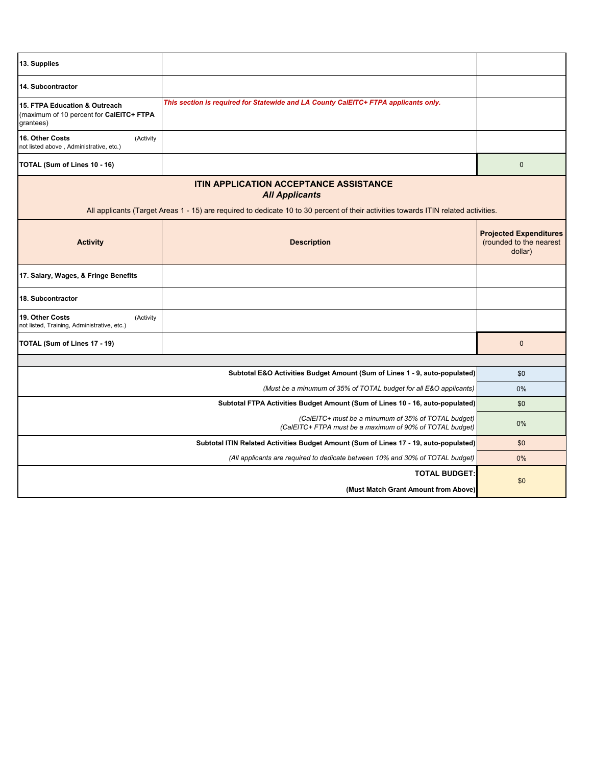| 13. Supplies                                                                           |                                                                                                                                                                                                               |                                                                     |
|----------------------------------------------------------------------------------------|---------------------------------------------------------------------------------------------------------------------------------------------------------------------------------------------------------------|---------------------------------------------------------------------|
| 14. Subcontractor                                                                      |                                                                                                                                                                                                               |                                                                     |
| 15. FTPA Education & Outreach<br>(maximum of 10 percent for CalEITC+ FTPA<br>grantees) | This section is required for Statewide and LA County CalEITC+ FTPA applicants only.                                                                                                                           |                                                                     |
| 16. Other Costs<br>(Activity<br>not listed above, Administrative, etc.)                |                                                                                                                                                                                                               |                                                                     |
| TOTAL (Sum of Lines 10 - 16)                                                           |                                                                                                                                                                                                               | $\mathbf 0$                                                         |
|                                                                                        | <b>ITIN APPLICATION ACCEPTANCE ASSISTANCE</b><br><b>All Applicants</b><br>All applicants (Target Areas 1 - 15) are required to dedicate 10 to 30 percent of their activities towards ITIN related activities. |                                                                     |
| <b>Activity</b>                                                                        | <b>Description</b>                                                                                                                                                                                            | <b>Projected Expenditures</b><br>(rounded to the nearest<br>dollar) |
| 17. Salary, Wages, & Fringe Benefits                                                   |                                                                                                                                                                                                               |                                                                     |
| 18. Subcontractor                                                                      |                                                                                                                                                                                                               |                                                                     |
| 19. Other Costs<br>(Activity<br>not listed, Training, Administrative, etc.)            |                                                                                                                                                                                                               |                                                                     |
| TOTAL (Sum of Lines 17 - 19)                                                           |                                                                                                                                                                                                               | $\mathbf 0$                                                         |
|                                                                                        |                                                                                                                                                                                                               |                                                                     |
|                                                                                        | Subtotal E&O Activities Budget Amount (Sum of Lines 1 - 9, auto-populated)                                                                                                                                    | \$0                                                                 |
|                                                                                        | (Must be a minumum of 35% of TOTAL budget for all E&O applicants)                                                                                                                                             | 0%                                                                  |
|                                                                                        | Subtotal FTPA Activities Budget Amount (Sum of Lines 10 - 16, auto-populated)                                                                                                                                 | \$0                                                                 |
|                                                                                        | (CalEITC+ must be a minumum of 35% of TOTAL budget)<br>(CalEITC+ FTPA must be a maximum of 90% of TOTAL budget)                                                                                               | $0\%$                                                               |
|                                                                                        | Subtotal ITIN Related Activities Budget Amount (Sum of Lines 17 - 19, auto-populated)                                                                                                                         | \$0                                                                 |
|                                                                                        | (All applicants are required to dedicate between 10% and 30% of TOTAL budget)                                                                                                                                 | 0%                                                                  |
|                                                                                        | <b>TOTAL BUDGET:</b>                                                                                                                                                                                          | \$0                                                                 |
|                                                                                        | (Must Match Grant Amount from Above)                                                                                                                                                                          |                                                                     |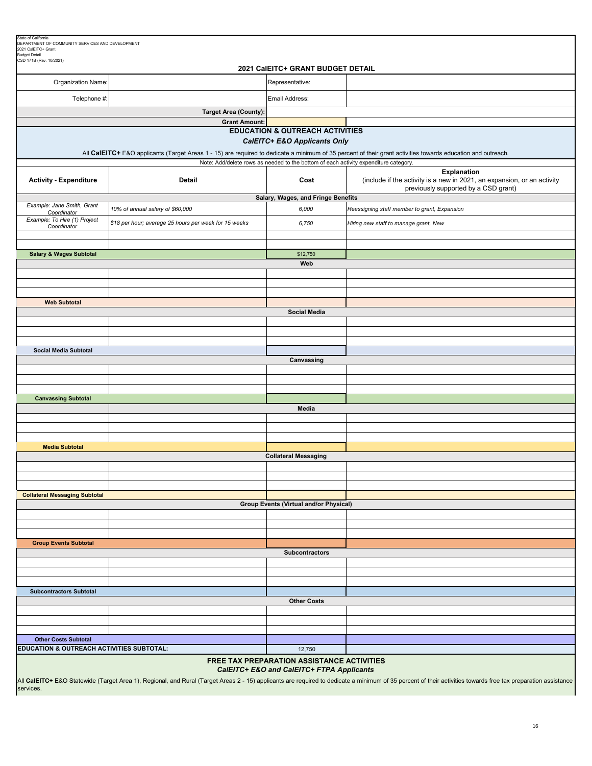| State of California<br>DEPARTMENT OF COMMUNITY SERVICES AND DEVELOPMENT                                                                                                                                                                                                                                               |                                                       |                                                                                      |                                                                                                                                                              |  |  |
|-----------------------------------------------------------------------------------------------------------------------------------------------------------------------------------------------------------------------------------------------------------------------------------------------------------------------|-------------------------------------------------------|--------------------------------------------------------------------------------------|--------------------------------------------------------------------------------------------------------------------------------------------------------------|--|--|
| 2021 CalEITC+ Grant<br><b>Budget Detail</b>                                                                                                                                                                                                                                                                           |                                                       |                                                                                      |                                                                                                                                                              |  |  |
| CSD 171B (Rev. 10/2021)<br>2021 CalEITC+ GRANT BUDGET DETAIL                                                                                                                                                                                                                                                          |                                                       |                                                                                      |                                                                                                                                                              |  |  |
| Organization Name:                                                                                                                                                                                                                                                                                                    |                                                       | Representative:                                                                      |                                                                                                                                                              |  |  |
| Telephone #:                                                                                                                                                                                                                                                                                                          |                                                       | Email Address:                                                                       |                                                                                                                                                              |  |  |
|                                                                                                                                                                                                                                                                                                                       | <b>Target Area (County):</b>                          |                                                                                      |                                                                                                                                                              |  |  |
|                                                                                                                                                                                                                                                                                                                       | <b>Grant Amount:</b>                                  | <b>EDUCATION &amp; OUTREACH ACTIVITIES</b>                                           |                                                                                                                                                              |  |  |
|                                                                                                                                                                                                                                                                                                                       |                                                       | CalEITC+ E&O Applicants Only                                                         |                                                                                                                                                              |  |  |
|                                                                                                                                                                                                                                                                                                                       |                                                       |                                                                                      | All CalEITC+ E&O applicants (Target Areas 1 - 15) are required to dedicate a minimum of 35 percent of their grant activities towards education and outreach. |  |  |
|                                                                                                                                                                                                                                                                                                                       |                                                       | Note: Add/delete rows as needed to the bottom of each activity expenditure category. |                                                                                                                                                              |  |  |
| <b>Activity - Expenditure</b>                                                                                                                                                                                                                                                                                         | <b>Detail</b>                                         | Cost                                                                                 | <b>Explanation</b><br>(include if the activity is a new in 2021, an expansion, or an activity<br>previously supported by a CSD grant)                        |  |  |
| Example: Jane Smith, Grant                                                                                                                                                                                                                                                                                            | 10% of annual salary of \$60,000                      | Salary, Wages, and Fringe Benefits<br>6,000                                          | Reassigning staff member to grant, Expansion                                                                                                                 |  |  |
| Coordinator<br>Example: To Hire (1) Project                                                                                                                                                                                                                                                                           | \$18 per hour; average 25 hours per week for 15 weeks | 6,750                                                                                | Hiring new staff to manage grant, New                                                                                                                        |  |  |
| Coordinator                                                                                                                                                                                                                                                                                                           |                                                       |                                                                                      |                                                                                                                                                              |  |  |
|                                                                                                                                                                                                                                                                                                                       |                                                       |                                                                                      |                                                                                                                                                              |  |  |
| <b>Salary &amp; Wages Subtotal</b>                                                                                                                                                                                                                                                                                    |                                                       | \$12,750<br>Web                                                                      |                                                                                                                                                              |  |  |
|                                                                                                                                                                                                                                                                                                                       |                                                       |                                                                                      |                                                                                                                                                              |  |  |
|                                                                                                                                                                                                                                                                                                                       |                                                       |                                                                                      |                                                                                                                                                              |  |  |
| <b>Web Subtotal</b>                                                                                                                                                                                                                                                                                                   |                                                       |                                                                                      |                                                                                                                                                              |  |  |
|                                                                                                                                                                                                                                                                                                                       |                                                       | <b>Social Media</b>                                                                  |                                                                                                                                                              |  |  |
|                                                                                                                                                                                                                                                                                                                       |                                                       |                                                                                      |                                                                                                                                                              |  |  |
|                                                                                                                                                                                                                                                                                                                       |                                                       |                                                                                      |                                                                                                                                                              |  |  |
| <b>Social Media Subtotal</b>                                                                                                                                                                                                                                                                                          |                                                       |                                                                                      |                                                                                                                                                              |  |  |
|                                                                                                                                                                                                                                                                                                                       |                                                       | Canvassing                                                                           |                                                                                                                                                              |  |  |
|                                                                                                                                                                                                                                                                                                                       |                                                       |                                                                                      |                                                                                                                                                              |  |  |
|                                                                                                                                                                                                                                                                                                                       |                                                       |                                                                                      |                                                                                                                                                              |  |  |
| <b>Canvassing Subtotal</b>                                                                                                                                                                                                                                                                                            |                                                       |                                                                                      |                                                                                                                                                              |  |  |
|                                                                                                                                                                                                                                                                                                                       |                                                       | Media                                                                                |                                                                                                                                                              |  |  |
|                                                                                                                                                                                                                                                                                                                       |                                                       |                                                                                      |                                                                                                                                                              |  |  |
|                                                                                                                                                                                                                                                                                                                       |                                                       |                                                                                      |                                                                                                                                                              |  |  |
| <b>Media Subtotal</b>                                                                                                                                                                                                                                                                                                 |                                                       |                                                                                      |                                                                                                                                                              |  |  |
|                                                                                                                                                                                                                                                                                                                       |                                                       | <b>Collateral Messaging</b>                                                          |                                                                                                                                                              |  |  |
|                                                                                                                                                                                                                                                                                                                       |                                                       |                                                                                      |                                                                                                                                                              |  |  |
|                                                                                                                                                                                                                                                                                                                       |                                                       |                                                                                      |                                                                                                                                                              |  |  |
| <b>Collateral Messaging Subtotal</b>                                                                                                                                                                                                                                                                                  |                                                       | Group Events (Virtual and/or Physical)                                               |                                                                                                                                                              |  |  |
|                                                                                                                                                                                                                                                                                                                       |                                                       |                                                                                      |                                                                                                                                                              |  |  |
|                                                                                                                                                                                                                                                                                                                       |                                                       |                                                                                      |                                                                                                                                                              |  |  |
| <b>Group Events Subtotal</b>                                                                                                                                                                                                                                                                                          |                                                       |                                                                                      |                                                                                                                                                              |  |  |
|                                                                                                                                                                                                                                                                                                                       |                                                       | <b>Subcontractors</b>                                                                |                                                                                                                                                              |  |  |
|                                                                                                                                                                                                                                                                                                                       |                                                       |                                                                                      |                                                                                                                                                              |  |  |
|                                                                                                                                                                                                                                                                                                                       |                                                       |                                                                                      |                                                                                                                                                              |  |  |
| <b>Subcontractors Subtotal</b>                                                                                                                                                                                                                                                                                        |                                                       |                                                                                      |                                                                                                                                                              |  |  |
|                                                                                                                                                                                                                                                                                                                       |                                                       | <b>Other Costs</b>                                                                   |                                                                                                                                                              |  |  |
|                                                                                                                                                                                                                                                                                                                       |                                                       |                                                                                      |                                                                                                                                                              |  |  |
|                                                                                                                                                                                                                                                                                                                       |                                                       |                                                                                      |                                                                                                                                                              |  |  |
| <b>Other Costs Subtotal</b>                                                                                                                                                                                                                                                                                           |                                                       |                                                                                      |                                                                                                                                                              |  |  |
| EDUCATION & OUTREACH ACTIVITIES SUBTOTAL:<br>12,750                                                                                                                                                                                                                                                                   |                                                       |                                                                                      |                                                                                                                                                              |  |  |
| FREE TAX PREPARATION ASSISTANCE ACTIVITIES<br>CalEITC+ E&O and CalEITC+ FTPA Applicants<br>All CalEITC+ E&O Statewide (Target Area 1), Regional, and Rural (Target Areas 2 - 15) applicants are required to dedicate a minimum of 35 percent of their activities towards free tax preparation assistance<br>services. |                                                       |                                                                                      |                                                                                                                                                              |  |  |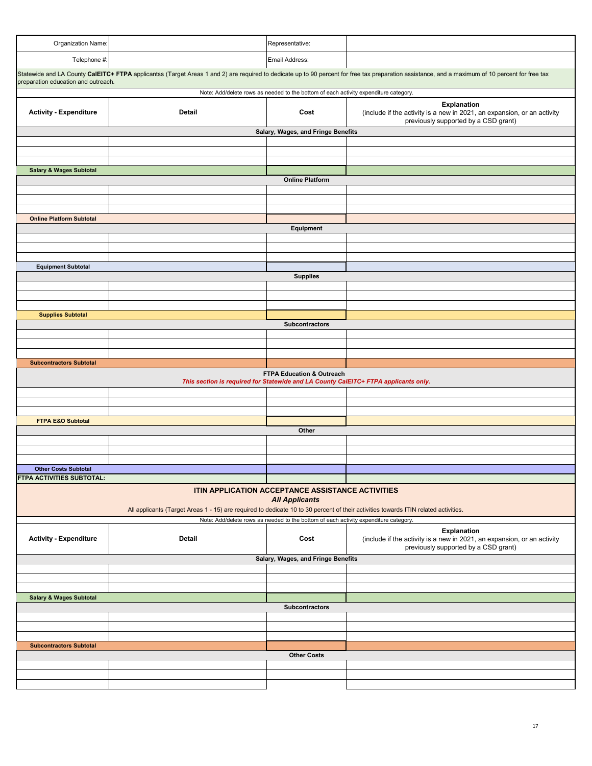| Organization Name:                                                                                                                  |                                                   | Representative:                                                                      |                                                                                                                                                                                                  |  |  |
|-------------------------------------------------------------------------------------------------------------------------------------|---------------------------------------------------|--------------------------------------------------------------------------------------|--------------------------------------------------------------------------------------------------------------------------------------------------------------------------------------------------|--|--|
| Telephone #:                                                                                                                        |                                                   | Email Address:                                                                       |                                                                                                                                                                                                  |  |  |
|                                                                                                                                     |                                                   |                                                                                      | Statewide and LA County CalEITC+ FTPA applicantss (Target Areas 1 and 2) are required to dedicate up to 90 percent for free tax preparation assistance, and a maximum of 10 percent for free tax |  |  |
| preparation education and outreach.                                                                                                 |                                                   | Note: Add/delete rows as needed to the bottom of each activity expenditure category. |                                                                                                                                                                                                  |  |  |
|                                                                                                                                     |                                                   |                                                                                      |                                                                                                                                                                                                  |  |  |
| <b>Activity - Expenditure</b>                                                                                                       | <b>Detail</b>                                     | Cost                                                                                 | Explanation<br>(include if the activity is a new in 2021, an expansion, or an activity<br>previously supported by a CSD grant)                                                                   |  |  |
|                                                                                                                                     |                                                   | Salary, Wages, and Fringe Benefits                                                   |                                                                                                                                                                                                  |  |  |
|                                                                                                                                     |                                                   |                                                                                      |                                                                                                                                                                                                  |  |  |
|                                                                                                                                     |                                                   |                                                                                      |                                                                                                                                                                                                  |  |  |
|                                                                                                                                     |                                                   |                                                                                      |                                                                                                                                                                                                  |  |  |
| <b>Salary &amp; Wages Subtotal</b>                                                                                                  |                                                   |                                                                                      |                                                                                                                                                                                                  |  |  |
|                                                                                                                                     |                                                   | <b>Online Platform</b>                                                               |                                                                                                                                                                                                  |  |  |
|                                                                                                                                     |                                                   |                                                                                      |                                                                                                                                                                                                  |  |  |
|                                                                                                                                     |                                                   |                                                                                      |                                                                                                                                                                                                  |  |  |
|                                                                                                                                     |                                                   |                                                                                      |                                                                                                                                                                                                  |  |  |
| <b>Online Platform Subtotal</b>                                                                                                     |                                                   |                                                                                      |                                                                                                                                                                                                  |  |  |
|                                                                                                                                     |                                                   | Equipment                                                                            |                                                                                                                                                                                                  |  |  |
|                                                                                                                                     |                                                   |                                                                                      |                                                                                                                                                                                                  |  |  |
|                                                                                                                                     |                                                   |                                                                                      |                                                                                                                                                                                                  |  |  |
|                                                                                                                                     |                                                   |                                                                                      |                                                                                                                                                                                                  |  |  |
|                                                                                                                                     |                                                   |                                                                                      |                                                                                                                                                                                                  |  |  |
| <b>Equipment Subtotal</b>                                                                                                           |                                                   |                                                                                      |                                                                                                                                                                                                  |  |  |
|                                                                                                                                     |                                                   | <b>Supplies</b>                                                                      |                                                                                                                                                                                                  |  |  |
|                                                                                                                                     |                                                   |                                                                                      |                                                                                                                                                                                                  |  |  |
|                                                                                                                                     |                                                   |                                                                                      |                                                                                                                                                                                                  |  |  |
|                                                                                                                                     |                                                   |                                                                                      |                                                                                                                                                                                                  |  |  |
| <b>Supplies Subtotal</b>                                                                                                            |                                                   |                                                                                      |                                                                                                                                                                                                  |  |  |
|                                                                                                                                     |                                                   | Subcontractors                                                                       |                                                                                                                                                                                                  |  |  |
|                                                                                                                                     |                                                   |                                                                                      |                                                                                                                                                                                                  |  |  |
|                                                                                                                                     |                                                   |                                                                                      |                                                                                                                                                                                                  |  |  |
|                                                                                                                                     |                                                   |                                                                                      |                                                                                                                                                                                                  |  |  |
| <b>Subcontractors Subtotal</b>                                                                                                      |                                                   |                                                                                      |                                                                                                                                                                                                  |  |  |
|                                                                                                                                     |                                                   |                                                                                      |                                                                                                                                                                                                  |  |  |
| FTPA Education & Outreach<br>This section is required for Statewide and LA County CalEITC+ FTPA applicants only.                    |                                                   |                                                                                      |                                                                                                                                                                                                  |  |  |
|                                                                                                                                     |                                                   |                                                                                      |                                                                                                                                                                                                  |  |  |
|                                                                                                                                     |                                                   |                                                                                      |                                                                                                                                                                                                  |  |  |
|                                                                                                                                     |                                                   |                                                                                      |                                                                                                                                                                                                  |  |  |
|                                                                                                                                     |                                                   |                                                                                      |                                                                                                                                                                                                  |  |  |
| <b>FTPA E&amp;O Subtotal</b>                                                                                                        |                                                   |                                                                                      |                                                                                                                                                                                                  |  |  |
|                                                                                                                                     |                                                   | Other                                                                                |                                                                                                                                                                                                  |  |  |
|                                                                                                                                     |                                                   |                                                                                      |                                                                                                                                                                                                  |  |  |
|                                                                                                                                     |                                                   |                                                                                      |                                                                                                                                                                                                  |  |  |
|                                                                                                                                     |                                                   |                                                                                      |                                                                                                                                                                                                  |  |  |
| <b>Other Costs Subtotal</b>                                                                                                         |                                                   |                                                                                      |                                                                                                                                                                                                  |  |  |
| FTPA ACTIVITIES SUBTOTAL:                                                                                                           |                                                   |                                                                                      |                                                                                                                                                                                                  |  |  |
|                                                                                                                                     |                                                   |                                                                                      |                                                                                                                                                                                                  |  |  |
|                                                                                                                                     | ITIN APPLICATION ACCEPTANCE ASSISTANCE ACTIVITIES |                                                                                      |                                                                                                                                                                                                  |  |  |
| <b>All Applicants</b>                                                                                                               |                                                   |                                                                                      |                                                                                                                                                                                                  |  |  |
| All applicants (Target Areas 1 - 15) are required to dedicate 10 to 30 percent of their activities towards ITIN related activities. |                                                   |                                                                                      |                                                                                                                                                                                                  |  |  |
|                                                                                                                                     |                                                   | Note: Add/delete rows as needed to the bottom of each activity expenditure category. |                                                                                                                                                                                                  |  |  |
|                                                                                                                                     |                                                   |                                                                                      | <b>Explanation</b>                                                                                                                                                                               |  |  |
| <b>Activity - Expenditure</b>                                                                                                       | Detail                                            | Cost                                                                                 | (include if the activity is a new in 2021, an expansion, or an activity<br>previously supported by a CSD grant)                                                                                  |  |  |
| Salary, Wages, and Fringe Benefits                                                                                                  |                                                   |                                                                                      |                                                                                                                                                                                                  |  |  |
|                                                                                                                                     |                                                   |                                                                                      |                                                                                                                                                                                                  |  |  |
|                                                                                                                                     |                                                   |                                                                                      |                                                                                                                                                                                                  |  |  |
|                                                                                                                                     |                                                   |                                                                                      |                                                                                                                                                                                                  |  |  |
|                                                                                                                                     |                                                   |                                                                                      |                                                                                                                                                                                                  |  |  |
| <b>Salary &amp; Wages Subtotal</b>                                                                                                  |                                                   |                                                                                      |                                                                                                                                                                                                  |  |  |
|                                                                                                                                     |                                                   | <b>Subcontractors</b>                                                                |                                                                                                                                                                                                  |  |  |
|                                                                                                                                     |                                                   |                                                                                      |                                                                                                                                                                                                  |  |  |
|                                                                                                                                     |                                                   |                                                                                      |                                                                                                                                                                                                  |  |  |
|                                                                                                                                     |                                                   |                                                                                      |                                                                                                                                                                                                  |  |  |
| <b>Subcontractors Subtotal</b>                                                                                                      |                                                   |                                                                                      |                                                                                                                                                                                                  |  |  |
|                                                                                                                                     |                                                   | <b>Other Costs</b>                                                                   |                                                                                                                                                                                                  |  |  |
|                                                                                                                                     |                                                   |                                                                                      |                                                                                                                                                                                                  |  |  |
|                                                                                                                                     |                                                   |                                                                                      |                                                                                                                                                                                                  |  |  |
|                                                                                                                                     |                                                   |                                                                                      |                                                                                                                                                                                                  |  |  |
|                                                                                                                                     |                                                   |                                                                                      |                                                                                                                                                                                                  |  |  |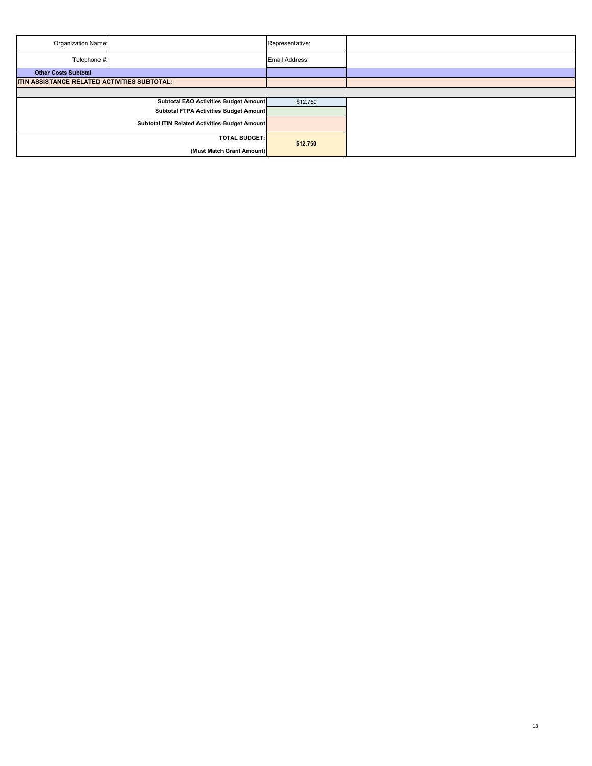| Organization Name:                           |                                                | Representative: |  |  |
|----------------------------------------------|------------------------------------------------|-----------------|--|--|
| Telephone #:                                 |                                                | Email Address:  |  |  |
| <b>Other Costs Subtotal</b>                  |                                                |                 |  |  |
| ITIN ASSISTANCE RELATED ACTIVITIES SUBTOTAL: |                                                |                 |  |  |
|                                              |                                                |                 |  |  |
|                                              | Subtotal E&O Activities Budget Amount          | \$12,750        |  |  |
|                                              | Subtotal FTPA Activities Budget Amount         |                 |  |  |
|                                              | Subtotal ITIN Related Activities Budget Amount |                 |  |  |
|                                              | <b>TOTAL BUDGET:</b>                           | \$12,750        |  |  |
|                                              | (Must Match Grant Amount)                      |                 |  |  |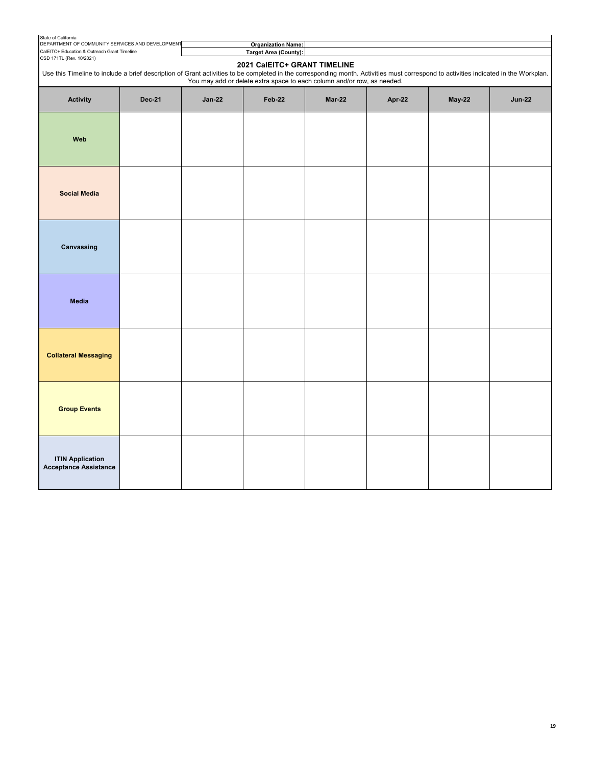| State of California                                                                              |                                                                                                                                                                                                                                                                                                 |               |                                                           |        |        |        |               |
|--------------------------------------------------------------------------------------------------|-------------------------------------------------------------------------------------------------------------------------------------------------------------------------------------------------------------------------------------------------------------------------------------------------|---------------|-----------------------------------------------------------|--------|--------|--------|---------------|
| DEPARTMENT OF COMMUNITY SERVICES AND DEVELOPMENT<br>CalEITC+ Education & Outreach Grant Timeline |                                                                                                                                                                                                                                                                                                 |               | <b>Organization Name:</b><br><b>Target Area (County):</b> |        |        |        |               |
| CSD 171TL (Rev. 10/2021)                                                                         |                                                                                                                                                                                                                                                                                                 |               |                                                           |        |        |        |               |
|                                                                                                  | 2021 CalEITC+ GRANT TIMELINE<br>Use this Timeline to include a brief description of Grant activities to be completed in the corresponding month. Activities must correspond to activities indicated in the Workplan.<br>You may add or delete extra space to each column and/or row, as needed. |               |                                                           |        |        |        |               |
| Activity                                                                                         | <b>Dec-21</b>                                                                                                                                                                                                                                                                                   | <b>Jan-22</b> | Feb-22                                                    | Mar-22 | Apr-22 | May-22 | <b>Jun-22</b> |
| Web                                                                                              |                                                                                                                                                                                                                                                                                                 |               |                                                           |        |        |        |               |
| <b>Social Media</b>                                                                              |                                                                                                                                                                                                                                                                                                 |               |                                                           |        |        |        |               |
| Canvassing                                                                                       |                                                                                                                                                                                                                                                                                                 |               |                                                           |        |        |        |               |
| <b>Media</b>                                                                                     |                                                                                                                                                                                                                                                                                                 |               |                                                           |        |        |        |               |
| <b>Collateral Messaging</b>                                                                      |                                                                                                                                                                                                                                                                                                 |               |                                                           |        |        |        |               |
| <b>Group Events</b>                                                                              |                                                                                                                                                                                                                                                                                                 |               |                                                           |        |        |        |               |
| <b>ITIN Application</b><br><b>Acceptance Assistance</b>                                          |                                                                                                                                                                                                                                                                                                 |               |                                                           |        |        |        |               |